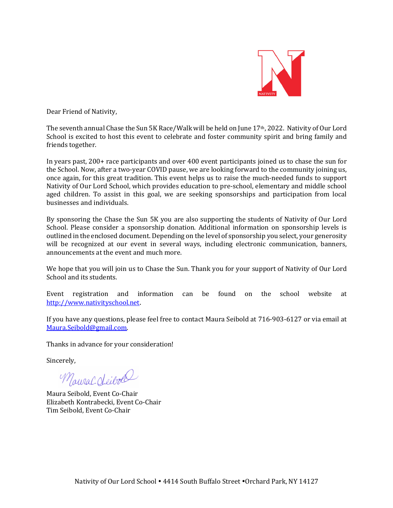

Dear Friend of Nativity,

The seventh annual Chase the Sun 5K Race/Walk will be held on June  $17<sup>th</sup>$ , 2022. Nativity of Our Lord School is excited to host this event to celebrate and foster community spirit and bring family and friends together.

In years past,  $200+$  race participants and over  $400$  event participants joined us to chase the sun for the School. Now, after a two-year COVID pause, we are looking forward to the community joining us, once again, for this great tradition. This event helps us to raise the much-needed funds to support Nativity of Our Lord School, which provides education to pre-school, elementary and middle school aged children. To assist in this goal, we are seeking sponsorships and participation from local businesses and individuals.

By sponsoring the Chase the Sun 5K you are also supporting the students of Nativity of Our Lord School. Please consider a sponsorship donation. Additional information on sponsorship levels is outlined in the enclosed document. Depending on the level of sponsorship you select, your generosity will be recognized at our event in several ways, including electronic communication, banners, announcements at the event and much more.

We hope that you will join us to Chase the Sun. Thank you for your support of Nativity of Our Lord School and its students.

Event registration and information can be found on the school website at http://www.nativityschool.net.

If you have any questions, please feel free to contact Maura Seibold at 716-903-6127 or via email at Maura.Seibold@gmail.com.

Thanks in advance for your consideration!

Sincerely, 

MauraC deibod

Maura Seibold, Event Co-Chair Elizabeth Kontrabecki, Event Co-Chair Tim Seibold, Event Co-Chair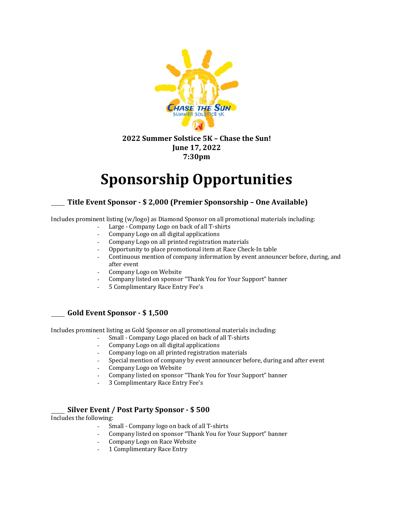

#### **2022 Summer Solstice 5K – Chase the Sun! June 17, 2022 7:30pm**

# **Sponsorship Opportunities**

## **Title Event Sponsor - \$ 2,000 (Premier Sponsorship – One Available)**

Includes prominent listing (w/logo) as Diamond Sponsor on all promotional materials including:

- Large Company Logo on back of all T-shirts
- Company Logo on all digital applications
- Company Logo on all printed registration materials
- Opportunity to place promotional item at Race Check-In table
- Continuous mention of company information by event announcer before, during, and after event
- Company Logo on Website
- Company listed on sponsor "Thank You for Your Support" banner
- 5 Complimentary Race Entry Fee's

## **Gold Event Sponsor - \$ 1,500**

Includes prominent listing as Gold Sponsor on all promotional materials including:

- Small Company Logo placed on back of all T-shirts
- Company Logo on all digital applications
- Company logo on all printed registration materials
- Special mention of company by event announcer before, during and after event
- Company Logo on Website
- Company listed on sponsor "Thank You for Your Support" banner
- 3 Complimentary Race Entry Fee's

## **Silver Event / Post Party Sponsor - \$ 500**

Includes the following:

- Small Company logo on back of all T-shirts
- Company listed on sponsor "Thank You for Your Support" banner
- Company Logo on Race Website
- 1 Complimentary Race Entry